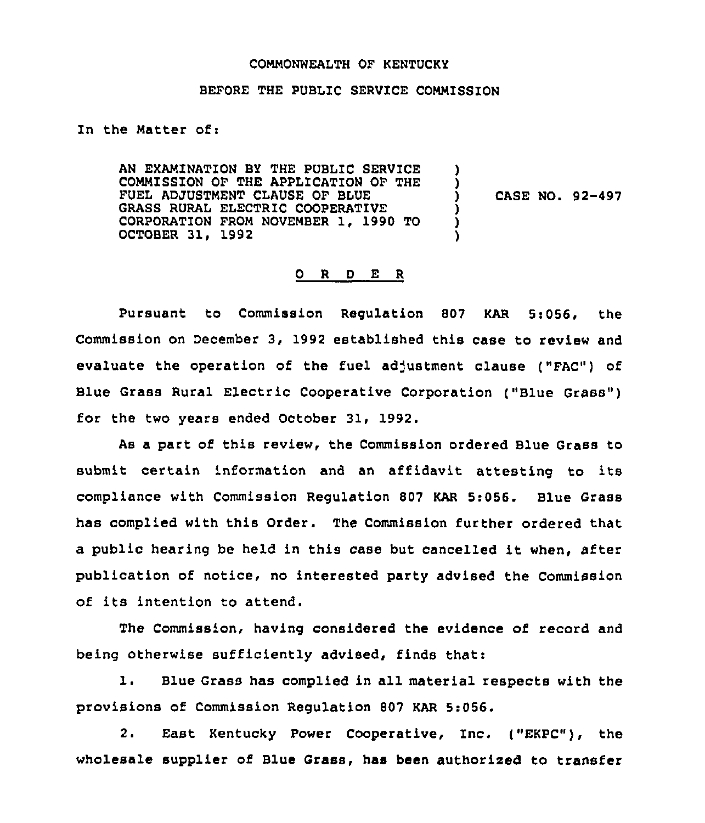#### COMMONWEALTH OF KENTUCKY

## BEFORE THE PUBLIC SERVICE COMMISSION

Zn the Matter of:

AN EXAMINATION BY THE PUBLIC SERVICE COMMISSION OF THE APPLICATION OF THE FUEL ADJUSTMENT CLAUSE OF BLUE GRASS RURAL ELECTRIC COOPERATIVE CORPORATION FROM NOVEMBER 1, 1990 TO OCTOBER 31, 1992 ) ) ) CASE NO. 92-497 ) ) )

### 0 <sup>R</sup> <sup>D</sup> E <sup>R</sup>

Pursuant to Commission Regulation 807 KAR 5:056, the Commission on December 3, 1992 established this case to review and evaluate the operation of the fuel adjustment clause ("FAC") of Blue Grass Rural Electric Cooperative Corporation ("Blue Grass" ) for the two years ended October 31, 1992.

As a part of this review, the Commission ordered Blue Grass to submit certain information and an affidavit attesting to its compliance with Commission Regulation 807 KAR 5:056. Blue Grass has complied with this Order. The Commission further ordered that <sup>a</sup> public hearing be held in this case but cancelled it when, after publication of notice, no interested party advised the Commission of its intention to attend.

The Commission, having considered the evidence of record and being otherwise sufficiently advised, finds that:

1. Blue Grass has complied in all material respects with the provisions of Commission Regulation 807 KAR 5:056.

2. East Kentucky Power Cooperative, Inc. ("EKPC"), the wholesale supplier of Blue Grass, has been authorized to transfer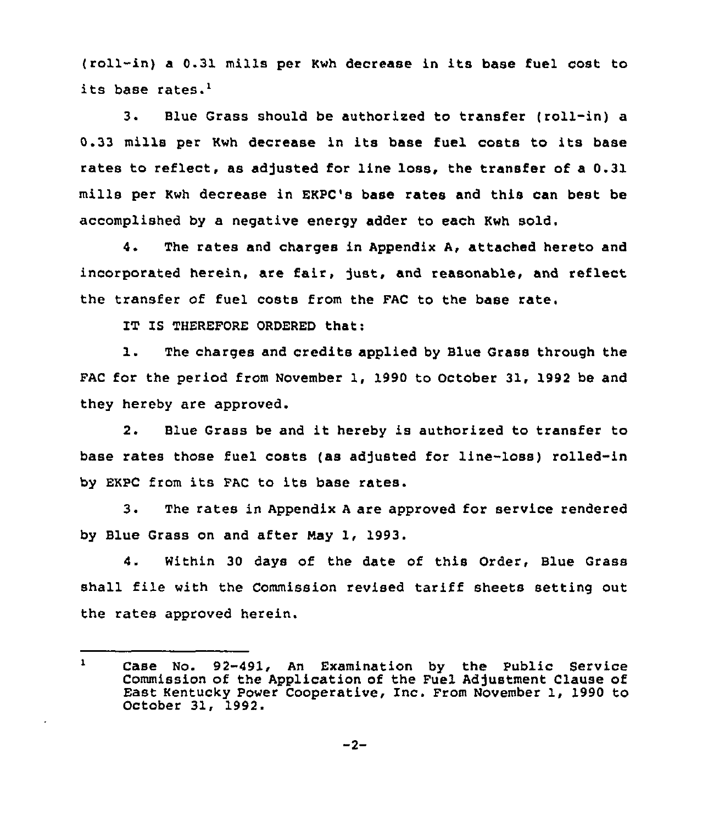(roll-in) <sup>a</sup> 0.31 mills per Kwh decrease in its base fuel cost to its base rates.<sup>1</sup>

 $3.$ Blue Grass should be authorised to transfer (roll-in) a 0.33 mills per Kwh decrease in its base fuel costs to its base rates to reflect, as adjusted for line loss, the transfer of a 0.31 mills per Kwh decrease in EKPC's base rates and this can best be accomplished by a negative energy adder to each Kwh sold.

4. The rates and charges in Appendix A, attached hereto and incorporated herein, are fair, just, and reasonable, and reflect the transfer of fuel costs from the FAC to the base rate,

IT IS THEREFORE ORDERED that:

1. The charges and credits applied by Blue Grass through the FAC for the period from November 1, 1990 to October 31, 1992 be and they hereby are approved.

2. Blue Grass be and it hereby is authorised to transfer to base rates those fuel costs (as adjusted for line-loss) rolled-in by EKPC from its FAC to its base rates.

3. The rates in Appendix <sup>A</sup> are approved for service rendered by Blue Grass on and after Nay 1, 1993.

4. Within 30 days of the date of this Order, Blue Grass shall file with the Commission revised tariff sheets setting out the rates approved herein.

 $\mathbf{1}$ Case No. 92-491, An Examination by the Public Service Commission of the Application of the Fuel Adjustment Clause of East Kentucky Power Cooperative, Inc. From November 1, 1990 to October 31, 1992.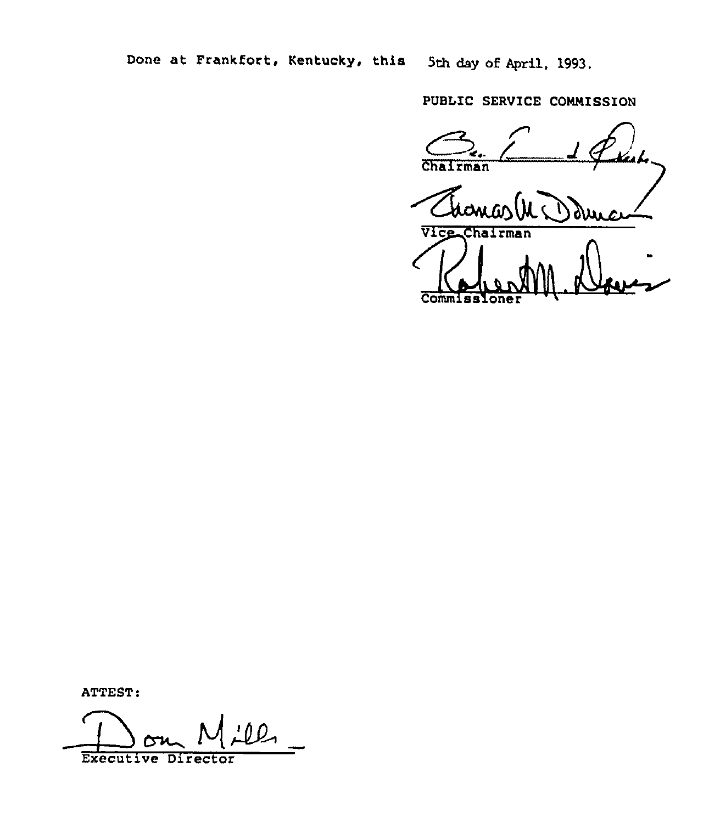Done at Frankfort, Kentucky, this Sth day of April, 1993.

PUBLIC SERVICE COMMISSION

Chairman Vice Chairman Commiss

ATTEST:

ll Executive Director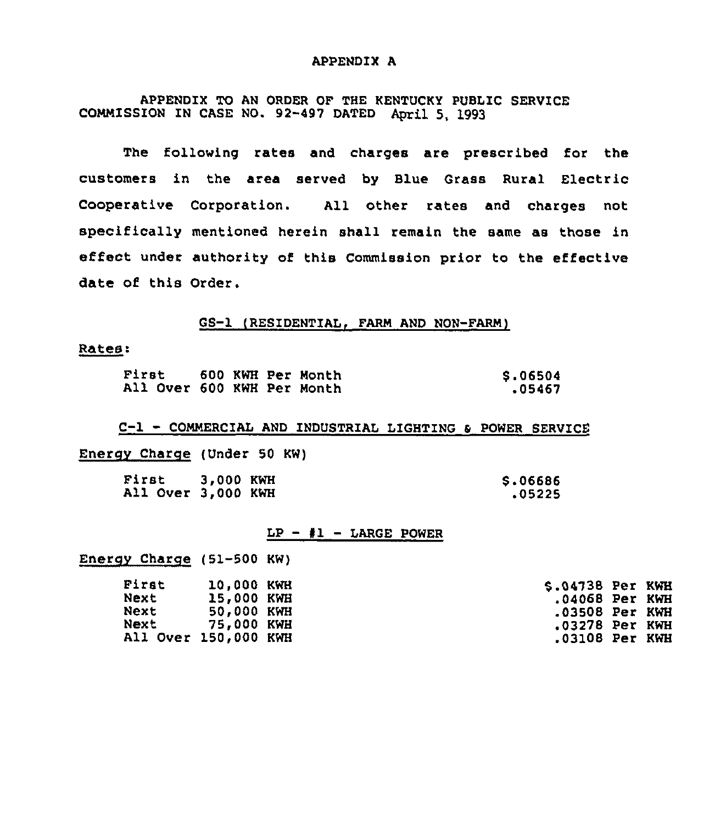#### APPENDIX A

APPENDIX TO AN ORDER OF THE KENTUCKY PUBLIC SERVICE COMMISSION IN CASE NO. 92-497 DATED April 5, 1993

The following rates and charges are prescribed for the customers in the area served by Blue Grass Rural Electric Cooperative Corporation. All other rates and charges not specifically mentioned herein shall remain the same as those in effect under authority of this Commission prior to the effective date of this Order.

## GS-1 (RESIDENTIAL, FARM AND NON-FARM)

Rates:

| First                      |  | 600 KWH Per Month | \$.06504 |
|----------------------------|--|-------------------|----------|
| All Over 600 KWH Per Month |  |                   | .05467   |

C-1 - COMMERCIAL AND INDUSTRIAL LIGHTING & POWER SERVICE

Energy Charge (Under 50 KW)

| First              | 3.000 KWH | \$.06686 |
|--------------------|-----------|----------|
| All Over 3,000 KWH |           | .05225   |

#### $LP - 1 - LARGE$  POWER

Enerov Charge (51-500 KW)

| <b>First</b>         | <b>10.000 KWH</b> | S.04738 Per KWH  |  |
|----------------------|-------------------|------------------|--|
| Next                 | 15,000 KWH        | .04068 Per KWH   |  |
| Next                 | 50.000 KWH        | .03508 Per KWH   |  |
| Next 75,000 KWH      |                   | .03278 Per KWH   |  |
| All Over 150,000 KWH |                   | $.03108$ Per KWH |  |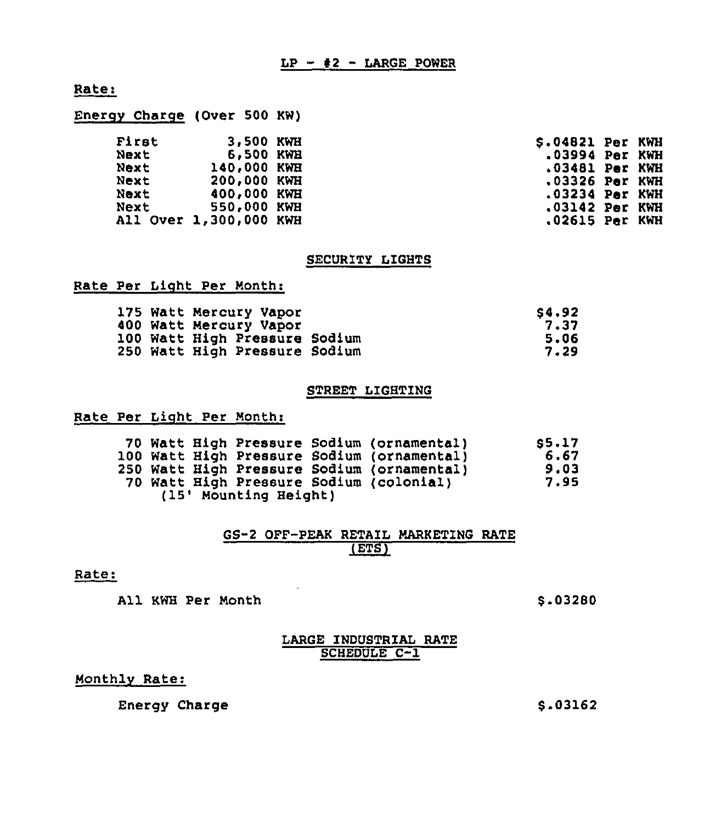# Rate:

| First                  | 3,500 KWH   | $$.04821$ Per KWH  |  |
|------------------------|-------------|--------------------|--|
| Next                   | 6,500 KWH   | $.03994$ Per $KWH$ |  |
| Next                   | 140,000 KWH | .03481 Per KWH     |  |
| Next                   | 200,000 KWH | $.03326$ Par $KWH$ |  |
| Next                   | 400,000 KWH | $.03234$ Par $KWH$ |  |
| Next                   | 550,000 KWH | $.03142$ Per KWH   |  |
| All Over 1,300,000 KWH |             | $.02615$ Per KWH   |  |
|                        |             |                    |  |

## SECURITY LIGHTS

## Rate Per Light Per Month:

Energy Charge (Over 500 KW)

|  | 175 Watt Mercury Vapor        | S4.92 |
|--|-------------------------------|-------|
|  | 400 Watt Mercury Vapor        | 7.37  |
|  | 100 Watt High Pressure Sodium | 5.06  |
|  | 250 Watt High Pressure Sodium | 7.29  |

## STREET LIGHTING

## Rate Per Light Per Month:

|  |                       | 70 Watt High Pressure Sodium (ornamental)<br>100 Watt High Pressure Sodium (ornamental)<br>250 Watt High Pressure Sodium (ornamental)<br>70 Watt High Pressure Sodium (colonial) | <b>S5.17</b><br>6.67<br>9.03<br>7.95 |
|--|-----------------------|----------------------------------------------------------------------------------------------------------------------------------------------------------------------------------|--------------------------------------|
|  | (15' Mounting Height) |                                                                                                                                                                                  |                                      |
|  |                       |                                                                                                                                                                                  |                                      |

## GS-2 OFF-PEAK RETAIL MARKETING RATE  $(ETS)$

#### Rate:

All KWH Per Month  $\sim$  5.03280

## LARGE INDUSTRIAL RATE SCHEDULE C-1

# Monthlv Rate:

Energy Charge

\$ .03162